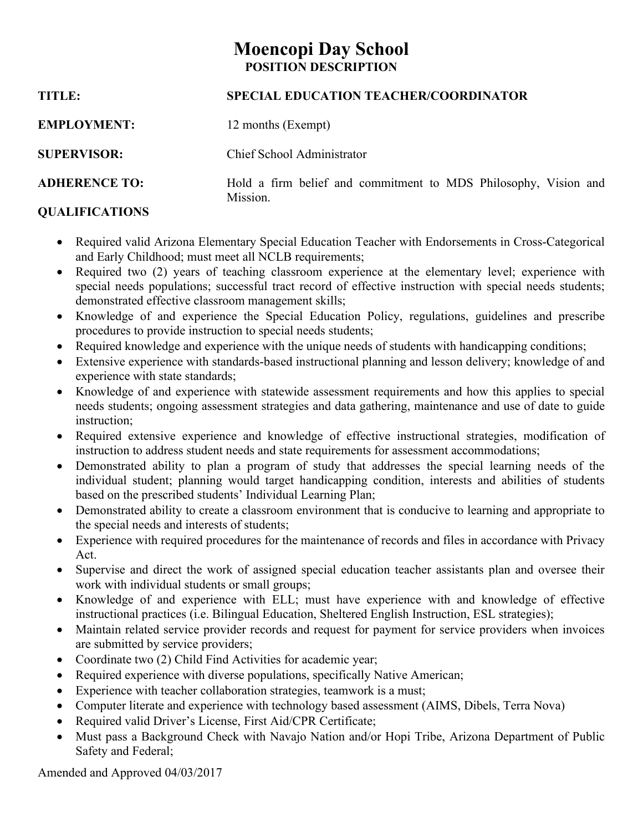# **Moencopi Day School POSITION DESCRIPTION**

| <b>TITLE:</b>        | <b>SPECIAL EDUCATION TEACHER/COORDINATOR</b>                                |  |  |
|----------------------|-----------------------------------------------------------------------------|--|--|
| <b>EMPLOYMENT:</b>   | 12 months (Exempt)                                                          |  |  |
| <b>SUPERVISOR:</b>   | Chief School Administrator                                                  |  |  |
| <b>ADHERENCE TO:</b> | Hold a firm belief and commitment to MDS Philosophy, Vision and<br>Mission. |  |  |

## **QUALIFICATIONS**

- Required valid Arizona Elementary Special Education Teacher with Endorsements in Cross-Categorical and Early Childhood; must meet all NCLB requirements;
- Required two (2) years of teaching classroom experience at the elementary level; experience with special needs populations; successful tract record of effective instruction with special needs students; demonstrated effective classroom management skills;
- Knowledge of and experience the Special Education Policy, regulations, guidelines and prescribe procedures to provide instruction to special needs students;
- Required knowledge and experience with the unique needs of students with handicapping conditions;
- Extensive experience with standards-based instructional planning and lesson delivery; knowledge of and experience with state standards;
- Knowledge of and experience with statewide assessment requirements and how this applies to special needs students; ongoing assessment strategies and data gathering, maintenance and use of date to guide instruction;
- Required extensive experience and knowledge of effective instructional strategies, modification of instruction to address student needs and state requirements for assessment accommodations;
- Demonstrated ability to plan a program of study that addresses the special learning needs of the individual student; planning would target handicapping condition, interests and abilities of students based on the prescribed students' Individual Learning Plan;
- Demonstrated ability to create a classroom environment that is conducive to learning and appropriate to the special needs and interests of students;
- Experience with required procedures for the maintenance of records and files in accordance with Privacy Act.
- Supervise and direct the work of assigned special education teacher assistants plan and oversee their work with individual students or small groups;
- Knowledge of and experience with ELL; must have experience with and knowledge of effective instructional practices (i.e. Bilingual Education, Sheltered English Instruction, ESL strategies);
- Maintain related service provider records and request for payment for service providers when invoices are submitted by service providers;
- Coordinate two (2) Child Find Activities for academic year;
- Required experience with diverse populations, specifically Native American;
- Experience with teacher collaboration strategies, teamwork is a must;
- Computer literate and experience with technology based assessment (AIMS, Dibels, Terra Nova)
- Required valid Driver's License, First Aid/CPR Certificate;
- Must pass a Background Check with Navajo Nation and/or Hopi Tribe, Arizona Department of Public Safety and Federal;

Amended and Approved 04/03/2017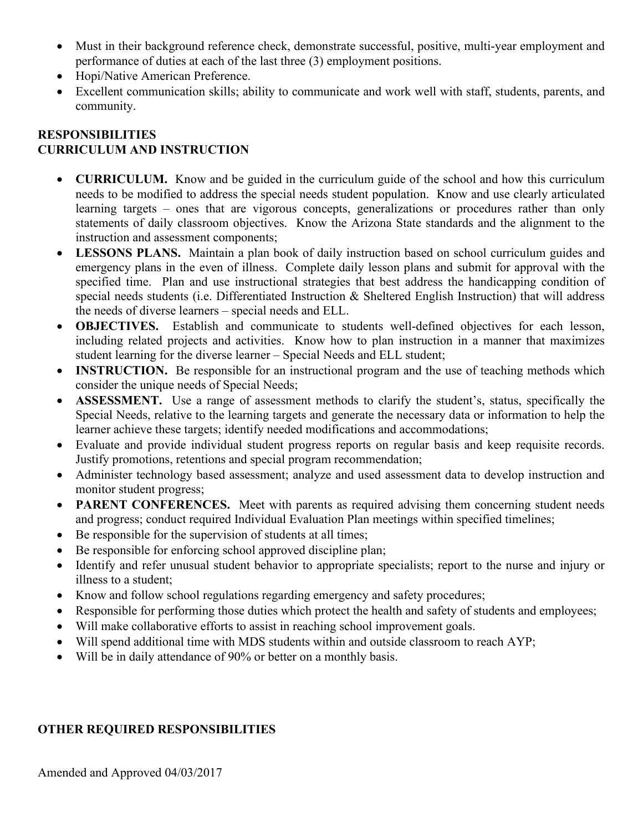- Must in their background reference check, demonstrate successful, positive, multi-year employment and performance of duties at each of the last three (3) employment positions.
- Hopi/Native American Preference.
- Excellent communication skills; ability to communicate and work well with staff, students, parents, and community.

### **RESPONSIBILITIES CURRICULUM AND INSTRUCTION**

- **CURRICULUM.** Know and be guided in the curriculum guide of the school and how this curriculum needs to be modified to address the special needs student population. Know and use clearly articulated learning targets – ones that are vigorous concepts, generalizations or procedures rather than only statements of daily classroom objectives. Know the Arizona State standards and the alignment to the instruction and assessment components;
- **LESSONS PLANS.** Maintain a plan book of daily instruction based on school curriculum guides and emergency plans in the even of illness. Complete daily lesson plans and submit for approval with the specified time. Plan and use instructional strategies that best address the handicapping condition of special needs students (i.e. Differentiated Instruction & Sheltered English Instruction) that will address the needs of diverse learners – special needs and ELL.
- **OBJECTIVES.** Establish and communicate to students well-defined objectives for each lesson, including related projects and activities. Know how to plan instruction in a manner that maximizes student learning for the diverse learner – Special Needs and ELL student;
- **INSTRUCTION.** Be responsible for an instructional program and the use of teaching methods which consider the unique needs of Special Needs;
- **ASSESSMENT.** Use a range of assessment methods to clarify the student's, status, specifically the Special Needs, relative to the learning targets and generate the necessary data or information to help the learner achieve these targets; identify needed modifications and accommodations;
- Evaluate and provide individual student progress reports on regular basis and keep requisite records. Justify promotions, retentions and special program recommendation;
- Administer technology based assessment; analyze and used assessment data to develop instruction and monitor student progress;
- **PARENT CONFERENCES.** Meet with parents as required advising them concerning student needs and progress; conduct required Individual Evaluation Plan meetings within specified timelines;
- Be responsible for the supervision of students at all times;
- Be responsible for enforcing school approved discipline plan;
- Identify and refer unusual student behavior to appropriate specialists; report to the nurse and injury or illness to a student;
- Know and follow school regulations regarding emergency and safety procedures;
- Responsible for performing those duties which protect the health and safety of students and employees;
- Will make collaborative efforts to assist in reaching school improvement goals.
- Will spend additional time with MDS students within and outside classroom to reach AYP;
- Will be in daily attendance of 90% or better on a monthly basis.

## **OTHER REQUIRED RESPONSIBILITIES**

Amended and Approved 04/03/2017